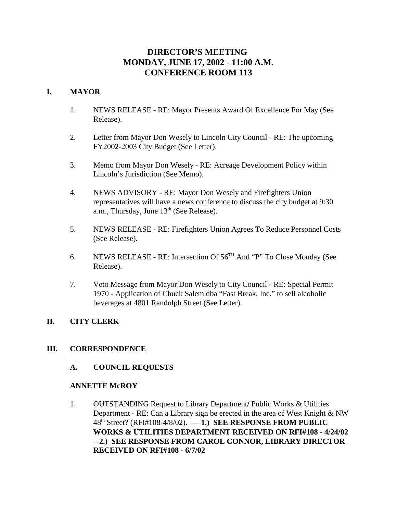# **DIRECTOR'S MEETING MONDAY, JUNE 17, 2002 - 11:00 A.M. CONFERENCE ROOM 113**

## **I. MAYOR**

- 1. NEWS RELEASE RE: Mayor Presents Award Of Excellence For May (See Release).
- 2. Letter from Mayor Don Wesely to Lincoln City Council RE: The upcoming FY2002-2003 City Budget (See Letter).
- 3. Memo from Mayor Don Wesely RE: Acreage Development Policy within Lincoln's Jurisdiction (See Memo).
- 4. NEWS ADVISORY RE: Mayor Don Wesely and Firefighters Union representatives will have a news conference to discuss the city budget at 9:30 a.m., Thursday, June 13<sup>th</sup> (See Release).
- 5. NEWS RELEASE RE: Firefighters Union Agrees To Reduce Personnel Costs (See Release).
- 6. NEWS RELEASE RE: Intersection Of  $56<sup>TH</sup>$  And "P" To Close Monday (See Release).
- 7. Veto Message from Mayor Don Wesely to City Council RE: Special Permit 1970 - Application of Chuck Salem dba "Fast Break, Inc." to sell alcoholic beverages at 4801 Randolph Street (See Letter).

# **II. CITY CLERK**

## **III. CORRESPONDENCE**

## **A. COUNCIL REQUESTS**

## **ANNETTE McROY**

1. OUTSTANDING Request to Library Department**/** Public Works & Utilities Department - RE: Can a Library sign be erected in the area of West Knight & NW 48th Street? (RFI#108-4/8/02). — **1.) SEE RESPONSE FROM PUBLIC WORKS & UTILITIES DEPARTMENT RECEIVED ON RFI#108 - 4/24/02 – 2.) SEE RESPONSE FROM CAROL CONNOR, LIBRARY DIRECTOR RECEIVED ON RFI#108 - 6/7/02**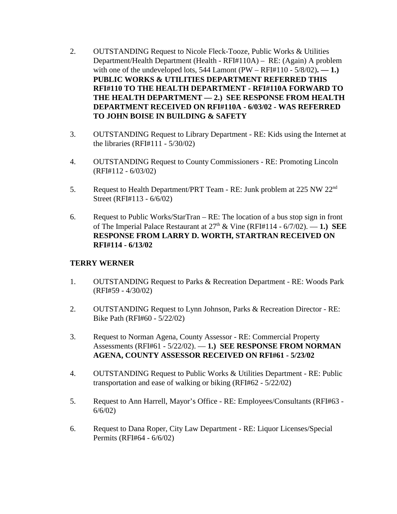- 2. OUTSTANDING Request to Nicole Fleck-Tooze, Public Works & Utilities Department/Health Department (Health - RFI#110A) – RE: (Again) A problem with one of the undeveloped lots,  $544$  Lamont (PW – RFI#110 -  $5/8/02$ ). — 1.) **PUBLIC WORKS & UTILITIES DEPARTMENT REFERRED THIS RFI#110 TO THE HEALTH DEPARTMENT - RFI#110A FORWARD TO THE HEALTH DEPARTMENT — 2.) SEE RESPONSE FROM HEALTH DEPARTMENT RECEIVED ON RFI#110A - 6/03/02 - WAS REFERRED TO JOHN BOISE IN BUILDING & SAFETY**
- 3. OUTSTANDING Request to Library Department RE: Kids using the Internet at the libraries (RFI#111 - 5/30/02)
- 4. OUTSTANDING Request to County Commissioners RE: Promoting Lincoln (RFI#112 - 6/03/02)
- 5. Request to Health Department/PRT Team RE: Junk problem at 225 NW 22<sup>nd</sup> Street (RFI#113 - 6/6/02)
- 6. Request to Public Works/StarTran RE: The location of a bus stop sign in front of The Imperial Palace Restaurant at  $27<sup>th</sup>$  & Vine (RFI#114 -  $6/7/02$ ).  $-1$ .) SEE **RESPONSE FROM LARRY D. WORTH, STARTRAN RECEIVED ON RFI#114 - 6/13/02**

## **TERRY WERNER**

- 1. OUTSTANDING Request to Parks & Recreation Department RE: Woods Park (RFI#59 - 4/30/02)
- 2. OUTSTANDING Request to Lynn Johnson, Parks & Recreation Director RE: Bike Path (RFI#60 - 5/22/02)
- 3. Request to Norman Agena, County Assessor RE: Commercial Property Assessments (RFI#61 - 5/22/02). — **1.) SEE RESPONSE FROM NORMAN AGENA, COUNTY ASSESSOR RECEIVED ON RFI#61 - 5/23/02**
- 4. OUTSTANDING Request to Public Works & Utilities Department RE: Public transportation and ease of walking or biking (RFI#62 - 5/22/02)
- 5. Request to Ann Harrell, Mayor's Office RE: Employees/Consultants (RFI#63 6/6/02)
- 6. Request to Dana Roper, City Law Department RE: Liquor Licenses/Special Permits (RFI#64 - 6/6/02)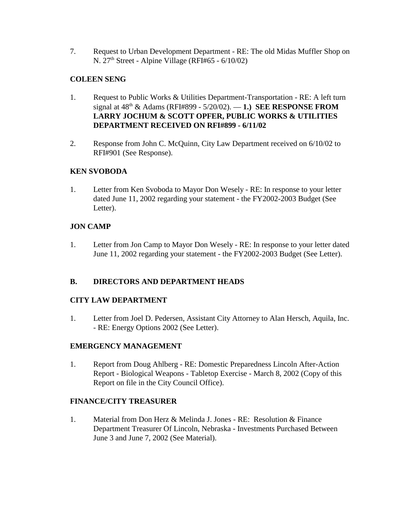7. Request to Urban Development Department - RE: The old Midas Muffler Shop on N. 27<sup>th</sup> Street - Alpine Village (RFI#65 - 6/10/02)

# **COLEEN SENG**

- 1. Request to Public Works & Utilities Department-Transportation RE: A left turn signal at 48th & Adams (RFI#899 - 5/20/02). — **1.) SEE RESPONSE FROM LARRY JOCHUM & SCOTT OPFER, PUBLIC WORKS & UTILITIES DEPARTMENT RECEIVED ON RFI#899 - 6/11/02**
- 2. Response from John C. McQuinn, City Law Department received on 6/10/02 to RFI#901 (See Response).

# **KEN SVOBODA**

1. Letter from Ken Svoboda to Mayor Don Wesely - RE: In response to your letter dated June 11, 2002 regarding your statement - the FY2002-2003 Budget (See Letter).

# **JON CAMP**

1. Letter from Jon Camp to Mayor Don Wesely - RE: In response to your letter dated June 11, 2002 regarding your statement - the FY2002-2003 Budget (See Letter).

## **B. DIRECTORS AND DEPARTMENT HEADS**

# **CITY LAW DEPARTMENT**

1. Letter from Joel D. Pedersen, Assistant City Attorney to Alan Hersch, Aquila, Inc. - RE: Energy Options 2002 (See Letter).

## **EMERGENCY MANAGEMENT**

1. Report from Doug Ahlberg - RE: Domestic Preparedness Lincoln After-Action Report - Biological Weapons - Tabletop Exercise - March 8, 2002 (Copy of this Report on file in the City Council Office).

## **FINANCE/CITY TREASURER**

1. Material from Don Herz & Melinda J. Jones - RE: Resolution & Finance Department Treasurer Of Lincoln, Nebraska - Investments Purchased Between June 3 and June 7, 2002 (See Material).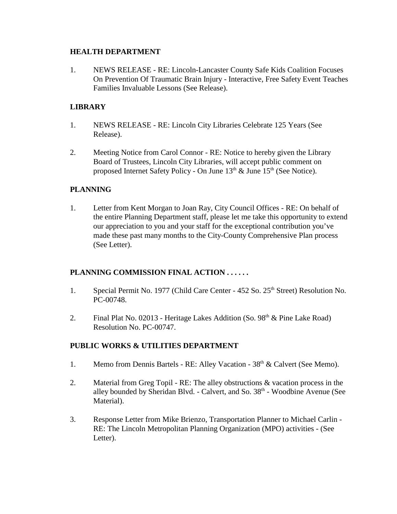## **HEALTH DEPARTMENT**

1. NEWS RELEASE - RE: Lincoln-Lancaster County Safe Kids Coalition Focuses On Prevention Of Traumatic Brain Injury - Interactive, Free Safety Event Teaches Families Invaluable Lessons (See Release).

# **LIBRARY**

- 1. NEWS RELEASE RE: Lincoln City Libraries Celebrate 125 Years (See Release).
- 2. Meeting Notice from Carol Connor RE: Notice to hereby given the Library Board of Trustees, Lincoln City Libraries, will accept public comment on proposed Internet Safety Policy - On June  $13<sup>th</sup>$  & June  $15<sup>th</sup>$  (See Notice).

## **PLANNING**

1. Letter from Kent Morgan to Joan Ray, City Council Offices - RE: On behalf of the entire Planning Department staff, please let me take this opportunity to extend our appreciation to you and your staff for the exceptional contribution you've made these past many months to the City-County Comprehensive Plan process (See Letter).

## **PLANNING COMMISSION FINAL ACTION . . . . . .**

- 1. Special Permit No. 1977 (Child Care Center 452 So. 25<sup>th</sup> Street) Resolution No. PC-00748.
- 2. Final Plat No. 02013 Heritage Lakes Addition (So.  $98<sup>th</sup> \&$  Pine Lake Road) Resolution No. PC-00747.

## **PUBLIC WORKS & UTILITIES DEPARTMENT**

- 1. Memo from Dennis Bartels RE: Alley Vacation 38<sup>th</sup> & Calvert (See Memo).
- 2. Material from Greg Topil RE: The alley obstructions & vacation process in the alley bounded by Sheridan Blvd. - Calvert, and So. 38<sup>th</sup> - Woodbine Avenue (See Material).
- 3. Response Letter from Mike Brienzo, Transportation Planner to Michael Carlin RE: The Lincoln Metropolitan Planning Organization (MPO) activities - (See Letter).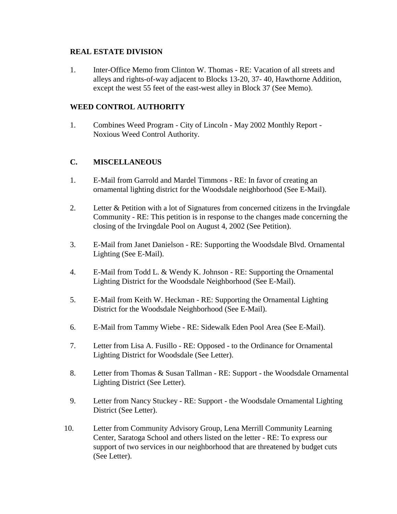## **REAL ESTATE DIVISION**

1. Inter-Office Memo from Clinton W. Thomas - RE: Vacation of all streets and alleys and rights-of-way adjacent to Blocks 13-20, 37- 40, Hawthorne Addition, except the west 55 feet of the east-west alley in Block 37 (See Memo).

## **WEED CONTROL AUTHORITY**

1. Combines Weed Program - City of Lincoln - May 2002 Monthly Report - Noxious Weed Control Authority.

# **C. MISCELLANEOUS**

- 1. E-Mail from Garrold and Mardel Timmons RE: In favor of creating an ornamental lighting district for the Woodsdale neighborhood (See E-Mail).
- 2. Letter & Petition with a lot of Signatures from concerned citizens in the Irvingdale Community - RE: This petition is in response to the changes made concerning the closing of the Irvingdale Pool on August 4, 2002 (See Petition).
- 3. E-Mail from Janet Danielson RE: Supporting the Woodsdale Blvd. Ornamental Lighting (See E-Mail).
- 4. E-Mail from Todd L. & Wendy K. Johnson RE: Supporting the Ornamental Lighting District for the Woodsdale Neighborhood (See E-Mail).
- 5. E-Mail from Keith W. Heckman RE: Supporting the Ornamental Lighting District for the Woodsdale Neighborhood (See E-Mail).
- 6. E-Mail from Tammy Wiebe RE: Sidewalk Eden Pool Area (See E-Mail).
- 7. Letter from Lisa A. Fusillo RE: Opposed to the Ordinance for Ornamental Lighting District for Woodsdale (See Letter).
- 8. Letter from Thomas & Susan Tallman RE: Support the Woodsdale Ornamental Lighting District (See Letter).
- 9. Letter from Nancy Stuckey RE: Support the Woodsdale Ornamental Lighting District (See Letter).
- 10. Letter from Community Advisory Group, Lena Merrill Community Learning Center, Saratoga School and others listed on the letter - RE: To express our support of two services in our neighborhood that are threatened by budget cuts (See Letter).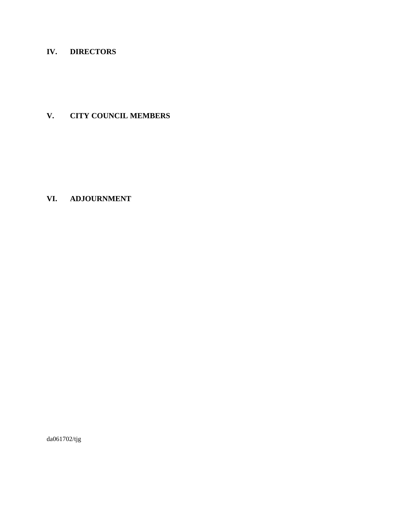# **IV. DIRECTORS**

# **V. CITY COUNCIL MEMBERS**

# **VI. ADJOURNMENT**

da061702/tjg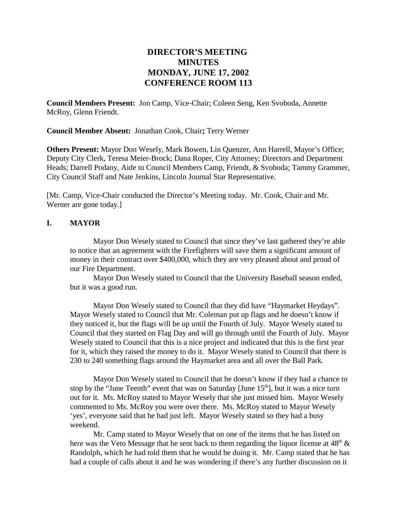# **DIRECTOR'S MEETING MINUTES MONDAY, JUNE 17, 2002 CONFERENCE ROOM 113**

**Council Members Present:** Jon Camp, Vice-Chair; Coleen Seng, Ken Svoboda, Annette McRoy, Glenn Friendt.

**Council Member Absent:** Jonathan Cook, Chair**;** Terry Werner

**Others Present:** Mayor Don Wesely, Mark Bowen, Lin Quenzer, Ann Harrell, Mayor's Office; Deputy City Clerk, Teresa Meier-Brock; Dana Roper, City Attorney; Directors and Department Heads; Darrell Podany, Aide to Council Members Camp, Friendt, & Svoboda; Tammy Grammer, City Council Staff and Nate Jenkins, Lincoln Journal Star Representative.

[Mr. Camp, Vice-Chair conducted the Director's Meeting today. Mr. Cook, Chair and Mr. Werner are gone today.]

## **I. MAYOR**

Mayor Don Wesely stated to Council that since they've last gathered they're able to notice that an agreement with the Firefighters will save them a significant amount of money in their contract over \$400,000, which they are very pleased about and proud of our Fire Department.

Mayor Don Wesely stated to Council that the University Baseball season ended, but it was a good run.

Mayor Don Wesely stated to Council that they did have "Haymarket Heydays". Mayor Wesely stated to Council that Mr. Coleman put up flags and he doesn't know if they noticed it, but the flags will be up until the Fourth of July. Mayor Wesely stated to Council that they started on Flag Day and will go through until the Fourth of July. Mayor Wesely stated to Council that this is a nice project and indicated that this is the first year for it, which they raised the money to do it. Mayor Wesely stated to Council that there is 230 to 240 something flags around the Haymarket area and all over the Ball Park.

Mayor Don Wesely stated to Council that he doesn't know if they had a chance to stop by the "June Teenth" event that was on Saturday [June  $15<sup>th</sup>$ ], but it was a nice turn out for it. Ms. McRoy stated to Mayor Wesely that she just missed him. Mayor Wesely commented to Ms. McRoy you were over there. Ms. McRoy stated to Mayor Wesely 'yes', everyone said that he had just left. Mayor Wesely stated so they had a busy weekend.

Mr. Camp stated to Mayor Wesely that on one of the items that he has listed on here was the Veto Message that he sent back to them regarding the liquor license at  $48<sup>th</sup> \&$ Randolph, which he had told them that he would be doing it. Mr. Camp stated that he has had a couple of calls about it and he was wondering if there's any further discussion on it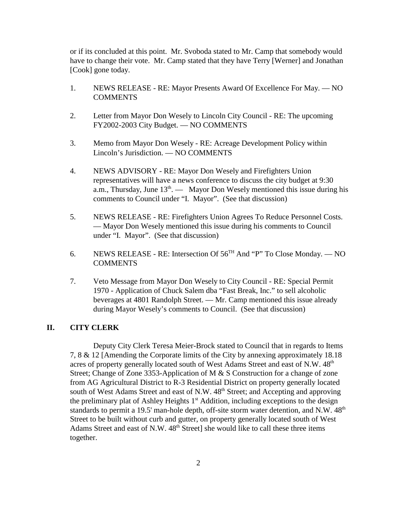or if its concluded at this point. Mr. Svoboda stated to Mr. Camp that somebody would have to change their vote. Mr. Camp stated that they have Terry [Werner] and Jonathan [Cook] gone today.

- 1. NEWS RELEASE RE: Mayor Presents Award Of Excellence For May. NO COMMENTS
- 2. Letter from Mayor Don Wesely to Lincoln City Council RE: The upcoming FY2002-2003 City Budget. — NO COMMENTS
- 3. Memo from Mayor Don Wesely RE: Acreage Development Policy within Lincoln's Jurisdiction. — NO COMMENTS
- 4. NEWS ADVISORY RE: Mayor Don Wesely and Firefighters Union representatives will have a news conference to discuss the city budget at 9:30 a.m., Thursday, June  $13<sup>th</sup>$ . — Mayor Don Wesely mentioned this issue during his comments to Council under "I. Mayor". (See that discussion)
- 5. NEWS RELEASE RE: Firefighters Union Agrees To Reduce Personnel Costs. — Mayor Don Wesely mentioned this issue during his comments to Council under "I. Mayor". (See that discussion)
- 6. NEWS RELEASE RE: Intersection Of  $56<sup>TH</sup>$  And "P" To Close Monday. NO COMMENTS
- 7. Veto Message from Mayor Don Wesely to City Council RE: Special Permit 1970 - Application of Chuck Salem dba "Fast Break, Inc." to sell alcoholic beverages at 4801 Randolph Street. — Mr. Camp mentioned this issue already during Mayor Wesely's comments to Council. (See that discussion)

#### **II. CITY CLERK**

Deputy City Clerk Teresa Meier-Brock stated to Council that in regards to Items 7, 8 & 12 [Amending the Corporate limits of the City by annexing approximately 18.18 acres of property generally located south of West Adams Street and east of N.W.  $48<sup>th</sup>$ Street; Change of Zone 3353-Application of M & S Construction for a change of zone from AG Agricultural District to R-3 Residential District on property generally located south of West Adams Street and east of N.W.  $48<sup>th</sup>$  Street; and Accepting and approving the preliminary plat of Ashley Heights 1<sup>st</sup> Addition, including exceptions to the design standards to permit a 19.5' man-hole depth, off-site storm water detention, and N.W. 48<sup>th</sup> Street to be built without curb and gutter, on property generally located south of West Adams Street and east of N.W.  $48<sup>th</sup>$  Street] she would like to call these three items together.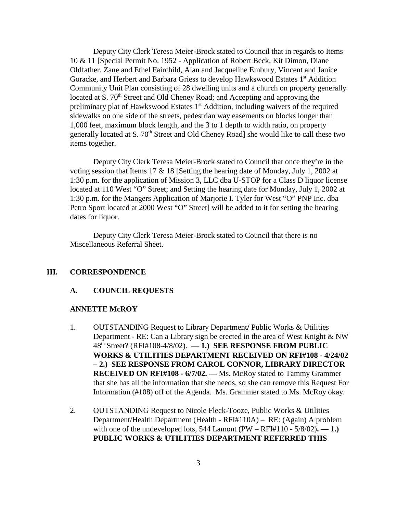Deputy City Clerk Teresa Meier-Brock stated to Council that in regards to Items 10 & 11 [Special Permit No. 1952 - Application of Robert Beck, Kit Dimon, Diane Oldfather, Zane and Ethel Fairchild, Alan and Jacqueline Embury, Vincent and Janice Goracke, and Herbert and Barbara Griess to develop Hawkswood Estates 1<sup>st</sup> Addition Community Unit Plan consisting of 28 dwelling units and a church on property generally located at S. 70<sup>th</sup> Street and Old Cheney Road; and Accepting and approving the preliminary plat of Hawkswood Estates  $1<sup>st</sup>$  Addition, including waivers of the required sidewalks on one side of the streets, pedestrian way easements on blocks longer than 1,000 feet, maximum block length, and the 3 to 1 depth to width ratio, on property generally located at S.  $70<sup>th</sup>$  Street and Old Cheney Road] she would like to call these two items together.

Deputy City Clerk Teresa Meier-Brock stated to Council that once they're in the voting session that Items 17 & 18 [Setting the hearing date of Monday, July 1, 2002 at 1:30 p.m. for the application of Mission 3, LLC dba U-STOP for a Class D liquor license located at 110 West "O" Street; and Setting the hearing date for Monday, July 1, 2002 at 1:30 p.m. for the Mangers Application of Marjorie I. Tyler for West "O" PNP Inc. dba Petro Sport located at 2000 West "O" Street] will be added to it for setting the hearing dates for liquor.

Deputy City Clerk Teresa Meier-Brock stated to Council that there is no Miscellaneous Referral Sheet.

## **III. CORRESPONDENCE**

#### **A. COUNCIL REQUESTS**

#### **ANNETTE McROY**

- 1. OUTSTANDING Request to Library Department**/** Public Works & Utilities Department - RE: Can a Library sign be erected in the area of West Knight & NW 48th Street? (RFI#108-4/8/02). — **1.) SEE RESPONSE FROM PUBLIC WORKS & UTILITIES DEPARTMENT RECEIVED ON RFI#108 - 4/24/02 – 2.) SEE RESPONSE FROM CAROL CONNOR, LIBRARY DIRECTOR RECEIVED ON RFI#108 - 6/7/02. —** Ms. McRoy stated to Tammy Grammer that she has all the information that she needs, so she can remove this Request For Information (#108) off of the Agenda. Ms. Grammer stated to Ms. McRoy okay.
- 2. OUTSTANDING Request to Nicole Fleck-Tooze, Public Works & Utilities Department/Health Department (Health - RFI#110A) – RE: (Again) A problem with one of the undeveloped lots,  $544$  Lamont (PW – RFI#110 -  $5/8/02$ ). — 1.) **PUBLIC WORKS & UTILITIES DEPARTMENT REFERRED THIS**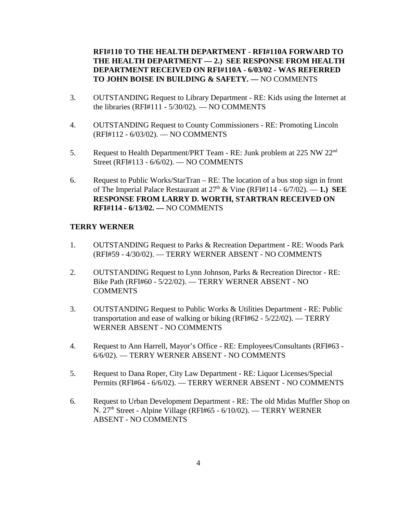**RFI#110 TO THE HEALTH DEPARTMENT - RFI#110A FORWARD TO THE HEALTH DEPARTMENT — 2.) SEE RESPONSE FROM HEALTH DEPARTMENT RECEIVED ON RFI#110A - 6/03/02 - WAS REFERRED TO JOHN BOISE IN BUILDING & SAFETY. —** NO COMMENTS

- 3. OUTSTANDING Request to Library Department RE: Kids using the Internet at the libraries (RFI#111 - 5/30/02). — NO COMMENTS
- 4. OUTSTANDING Request to County Commissioners RE: Promoting Lincoln (RFI#112 - 6/03/02). — NO COMMENTS
- 5. Request to Health Department/PRT Team RE: Junk problem at 225 NW 22<sup>nd</sup> Street (RFI#113 - 6/6/02). — NO COMMENTS
- 6. Request to Public Works/StarTran RE: The location of a bus stop sign in front of The Imperial Palace Restaurant at  $27<sup>th</sup>$  & Vine (RFI#114 -  $6/7/02$ ).  $-1$ .) SEE **RESPONSE FROM LARRY D. WORTH, STARTRAN RECEIVED ON RFI#114 - 6/13/02. —** NO COMMENTS

#### **TERRY WERNER**

- 1. OUTSTANDING Request to Parks & Recreation Department RE: Woods Park (RFI#59 - 4/30/02). — TERRY WERNER ABSENT - NO COMMENTS
- 2. OUTSTANDING Request to Lynn Johnson, Parks & Recreation Director RE: Bike Path (RFI#60 - 5/22/02). — TERRY WERNER ABSENT - NO **COMMENTS**
- 3. OUTSTANDING Request to Public Works & Utilities Department RE: Public transportation and ease of walking or biking (RFI#62 - 5/22/02). — TERRY WERNER ABSENT - NO COMMENTS
- 4. Request to Ann Harrell, Mayor's Office RE: Employees/Consultants (RFI#63 6/6/02). — TERRY WERNER ABSENT - NO COMMENTS
- 5. Request to Dana Roper, City Law Department RE: Liquor Licenses/Special Permits (RFI#64 - 6/6/02). — TERRY WERNER ABSENT - NO COMMENTS
- 6. Request to Urban Development Department RE: The old Midas Muffler Shop on N.  $27<sup>th</sup>$  Street - Alpine Village (RFI#65 - 6/10/02). — TERRY WERNER ABSENT - NO COMMENTS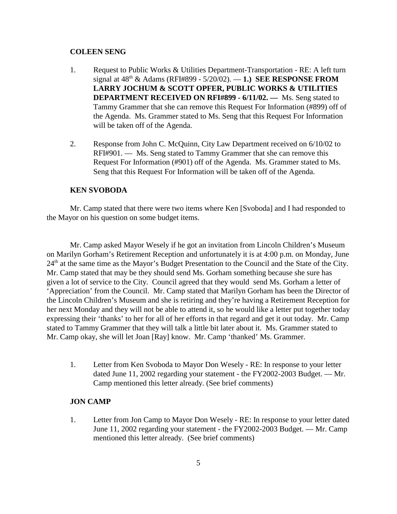#### **COLEEN SENG**

- 1. Request to Public Works & Utilities Department-Transportation RE: A left turn signal at 48th & Adams (RFI#899 - 5/20/02). — **1.) SEE RESPONSE FROM LARRY JOCHUM & SCOTT OPFER, PUBLIC WORKS & UTILITIES DEPARTMENT RECEIVED ON RFI#899 - 6/11/02. —** Ms. Seng stated to Tammy Grammer that she can remove this Request For Information (#899) off of the Agenda. Ms. Grammer stated to Ms. Seng that this Request For Information will be taken off of the Agenda.
- 2. Response from John C. McQuinn, City Law Department received on 6/10/02 to RFI#901. — Ms. Seng stated to Tammy Grammer that she can remove this Request For Information (#901) off of the Agenda. Ms. Grammer stated to Ms. Seng that this Request For Information will be taken off of the Agenda.

#### **KEN SVOBODA**

Mr. Camp stated that there were two items where Ken [Svoboda] and I had responded to the Mayor on his question on some budget items.

Mr. Camp asked Mayor Wesely if he got an invitation from Lincoln Children's Museum on Marilyn Gorham's Retirement Reception and unfortunately it is at 4:00 p.m. on Monday, June 24<sup>th</sup> at the same time as the Mayor's Budget Presentation to the Council and the State of the City. Mr. Camp stated that may be they should send Ms. Gorham something because she sure has given a lot of service to the City. Council agreed that they would send Ms. Gorham a letter of 'Appreciation' from the Council. Mr. Camp stated that Marilyn Gorham has been the Director of the Lincoln Children's Museum and she is retiring and they're having a Retirement Reception for her next Monday and they will not be able to attend it, so he would like a letter put together today expressing their 'thanks' to her for all of her efforts in that regard and get it out today. Mr. Camp stated to Tammy Grammer that they will talk a little bit later about it. Ms. Grammer stated to Mr. Camp okay, she will let Joan [Ray] know. Mr. Camp 'thanked' Ms. Grammer.

1. Letter from Ken Svoboda to Mayor Don Wesely - RE: In response to your letter dated June 11, 2002 regarding your statement - the FY2002-2003 Budget. — Mr. Camp mentioned this letter already. (See brief comments)

#### **JON CAMP**

1. Letter from Jon Camp to Mayor Don Wesely - RE: In response to your letter dated June 11, 2002 regarding your statement - the FY2002-2003 Budget. — Mr. Camp mentioned this letter already. (See brief comments)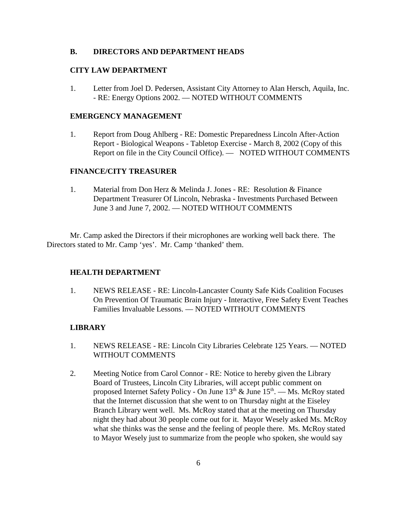#### **B. DIRECTORS AND DEPARTMENT HEADS**

## **CITY LAW DEPARTMENT**

1. Letter from Joel D. Pedersen, Assistant City Attorney to Alan Hersch, Aquila, Inc. - RE: Energy Options 2002. — NOTED WITHOUT COMMENTS

#### **EMERGENCY MANAGEMENT**

1. Report from Doug Ahlberg - RE: Domestic Preparedness Lincoln After-Action Report - Biological Weapons - Tabletop Exercise - March 8, 2002 (Copy of this Report on file in the City Council Office). — NOTED WITHOUT COMMENTS

## **FINANCE/CITY TREASURER**

1. Material from Don Herz & Melinda J. Jones - RE: Resolution & Finance Department Treasurer Of Lincoln, Nebraska - Investments Purchased Between June 3 and June 7, 2002. — NOTED WITHOUT COMMENTS

Mr. Camp asked the Directors if their microphones are working well back there. The Directors stated to Mr. Camp 'yes'. Mr. Camp 'thanked' them.

#### **HEALTH DEPARTMENT**

1. NEWS RELEASE - RE: Lincoln-Lancaster County Safe Kids Coalition Focuses On Prevention Of Traumatic Brain Injury - Interactive, Free Safety Event Teaches Families Invaluable Lessons. — NOTED WITHOUT COMMENTS

#### **LIBRARY**

- 1. NEWS RELEASE RE: Lincoln City Libraries Celebrate 125 Years. NOTED WITHOUT COMMENTS
- 2. Meeting Notice from Carol Connor RE: Notice to hereby given the Library Board of Trustees, Lincoln City Libraries, will accept public comment on proposed Internet Safety Policy - On June  $13<sup>th</sup>$  & June  $15<sup>th</sup>$ . — Ms. McRoy stated that the Internet discussion that she went to on Thursday night at the Eiseley Branch Library went well. Ms. McRoy stated that at the meeting on Thursday night they had about 30 people come out for it. Mayor Wesely asked Ms. McRoy what she thinks was the sense and the feeling of people there. Ms. McRoy stated to Mayor Wesely just to summarize from the people who spoken, she would say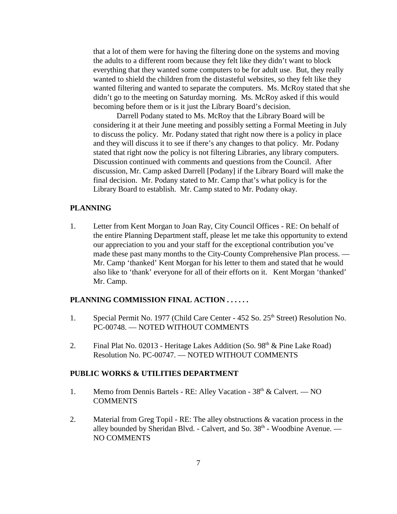that a lot of them were for having the filtering done on the systems and moving the adults to a different room because they felt like they didn't want to block everything that they wanted some computers to be for adult use. But, they really wanted to shield the children from the distasteful websites, so they felt like they wanted filtering and wanted to separate the computers. Ms. McRoy stated that she didn't go to the meeting on Saturday morning. Ms. McRoy asked if this would becoming before them or is it just the Library Board's decision.

Darrell Podany stated to Ms. McRoy that the Library Board will be considering it at their June meeting and possibly setting a Formal Meeting in July to discuss the policy. Mr. Podany stated that right now there is a policy in place and they will discuss it to see if there's any changes to that policy. Mr. Podany stated that right now the policy is not filtering Libraries, any library computers. Discussion continued with comments and questions from the Council. After discussion, Mr. Camp asked Darrell [Podany] if the Library Board will make the final decision. Mr. Podany stated to Mr. Camp that's what policy is for the Library Board to establish. Mr. Camp stated to Mr. Podany okay.

## **PLANNING**

1. Letter from Kent Morgan to Joan Ray, City Council Offices - RE: On behalf of the entire Planning Department staff, please let me take this opportunity to extend our appreciation to you and your staff for the exceptional contribution you've made these past many months to the City-County Comprehensive Plan process. — Mr. Camp 'thanked' Kent Morgan for his letter to them and stated that he would also like to 'thank' everyone for all of their efforts on it. Kent Morgan 'thanked' Mr. Camp.

# **PLANNING COMMISSION FINAL ACTION . . . . . .**

- 1. Special Permit No. 1977 (Child Care Center 452 So. 25<sup>th</sup> Street) Resolution No. PC-00748. — NOTED WITHOUT COMMENTS
- 2. Final Plat No. 02013 Heritage Lakes Addition (So.  $98<sup>th</sup> \& P$ ine Lake Road) Resolution No. PC-00747. — NOTED WITHOUT COMMENTS

#### **PUBLIC WORKS & UTILITIES DEPARTMENT**

- 1. Memo from Dennis Bartels RE: Alley Vacation 38<sup>th</sup> & Calvert. NO **COMMENTS**
- 2. Material from Greg Topil RE: The alley obstructions & vacation process in the alley bounded by Sheridan Blvd. - Calvert, and So.  $38<sup>th</sup>$  - Woodbine Avenue. — NO COMMENTS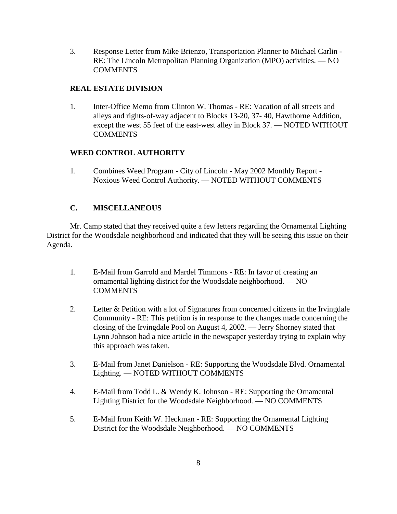3. Response Letter from Mike Brienzo, Transportation Planner to Michael Carlin - RE: The Lincoln Metropolitan Planning Organization (MPO) activities. — NO **COMMENTS** 

## **REAL ESTATE DIVISION**

1. Inter-Office Memo from Clinton W. Thomas - RE: Vacation of all streets and alleys and rights-of-way adjacent to Blocks 13-20, 37- 40, Hawthorne Addition, except the west 55 feet of the east-west alley in Block 37. — NOTED WITHOUT **COMMENTS** 

## **WEED CONTROL AUTHORITY**

1. Combines Weed Program - City of Lincoln - May 2002 Monthly Report - Noxious Weed Control Authority. — NOTED WITHOUT COMMENTS

## **C. MISCELLANEOUS**

Mr. Camp stated that they received quite a few letters regarding the Ornamental Lighting District for the Woodsdale neighborhood and indicated that they will be seeing this issue on their Agenda.

- 1. E-Mail from Garrold and Mardel Timmons RE: In favor of creating an ornamental lighting district for the Woodsdale neighborhood. — NO **COMMENTS**
- 2. Letter & Petition with a lot of Signatures from concerned citizens in the Irvingdale Community - RE: This petition is in response to the changes made concerning the closing of the Irvingdale Pool on August 4, 2002. — Jerry Shorney stated that Lynn Johnson had a nice article in the newspaper yesterday trying to explain why this approach was taken.
- 3. E-Mail from Janet Danielson RE: Supporting the Woodsdale Blvd. Ornamental Lighting. — NOTED WITHOUT COMMENTS
- 4. E-Mail from Todd L. & Wendy K. Johnson RE: Supporting the Ornamental Lighting District for the Woodsdale Neighborhood. — NO COMMENTS
- 5. E-Mail from Keith W. Heckman RE: Supporting the Ornamental Lighting District for the Woodsdale Neighborhood. — NO COMMENTS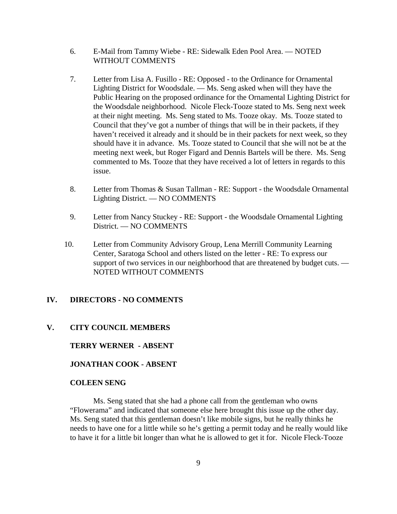- 6. E-Mail from Tammy Wiebe RE: Sidewalk Eden Pool Area. NOTED WITHOUT COMMENTS
- 7. Letter from Lisa A. Fusillo RE: Opposed to the Ordinance for Ornamental Lighting District for Woodsdale. — Ms. Seng asked when will they have the Public Hearing on the proposed ordinance for the Ornamental Lighting District for the Woodsdale neighborhood. Nicole Fleck-Tooze stated to Ms. Seng next week at their night meeting. Ms. Seng stated to Ms. Tooze okay. Ms. Tooze stated to Council that they've got a number of things that will be in their packets, if they haven't received it already and it should be in their packets for next week, so they should have it in advance. Ms. Tooze stated to Council that she will not be at the meeting next week, but Roger Figard and Dennis Bartels will be there. Ms. Seng commented to Ms. Tooze that they have received a lot of letters in regards to this issue.
- 8. Letter from Thomas & Susan Tallman RE: Support the Woodsdale Ornamental Lighting District. — NO COMMENTS
- 9. Letter from Nancy Stuckey RE: Support the Woodsdale Ornamental Lighting District. — NO COMMENTS
- 10. Letter from Community Advisory Group, Lena Merrill Community Learning Center, Saratoga School and others listed on the letter - RE: To express our support of two services in our neighborhood that are threatened by budget cuts. — NOTED WITHOUT COMMENTS

## **IV. DIRECTORS - NO COMMENTS**

#### **V. CITY COUNCIL MEMBERS**

**TERRY WERNER - ABSENT** 

**JONATHAN COOK - ABSENT** 

#### **COLEEN SENG**

Ms. Seng stated that she had a phone call from the gentleman who owns "Flowerama" and indicated that someone else here brought this issue up the other day. Ms. Seng stated that this gentleman doesn't like mobile signs, but he really thinks he needs to have one for a little while so he's getting a permit today and he really would like to have it for a little bit longer than what he is allowed to get it for. Nicole Fleck-Tooze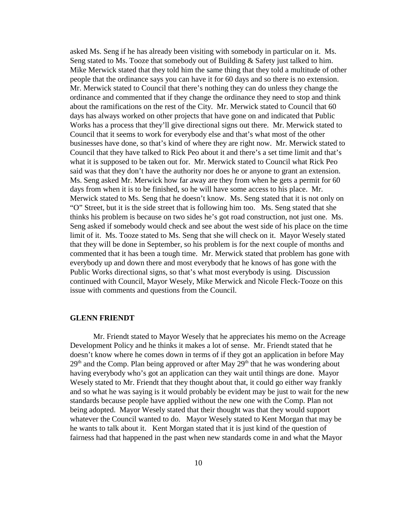asked Ms. Seng if he has already been visiting with somebody in particular on it. Ms. Seng stated to Ms. Tooze that somebody out of Building & Safety just talked to him. Mike Merwick stated that they told him the same thing that they told a multitude of other people that the ordinance says you can have it for 60 days and so there is no extension. Mr. Merwick stated to Council that there's nothing they can do unless they change the ordinance and commented that if they change the ordinance they need to stop and think about the ramifications on the rest of the City. Mr. Merwick stated to Council that 60 days has always worked on other projects that have gone on and indicated that Public Works has a process that they'll give directional signs out there. Mr. Merwick stated to Council that it seems to work for everybody else and that's what most of the other businesses have done, so that's kind of where they are right now. Mr. Merwick stated to Council that they have talked to Rick Peo about it and there's a set time limit and that's what it is supposed to be taken out for. Mr. Merwick stated to Council what Rick Peo said was that they don't have the authority nor does he or anyone to grant an extension. Ms. Seng asked Mr. Merwick how far away are they from when he gets a permit for 60 days from when it is to be finished, so he will have some access to his place. Mr. Merwick stated to Ms. Seng that he doesn't know. Ms. Seng stated that it is not only on "O" Street, but it is the side street that is following him too. Ms. Seng stated that she thinks his problem is because on two sides he's got road construction, not just one. Ms. Seng asked if somebody would check and see about the west side of his place on the time limit of it. Ms. Tooze stated to Ms. Seng that she will check on it. Mayor Wesely stated that they will be done in September, so his problem is for the next couple of months and commented that it has been a tough time. Mr. Merwick stated that problem has gone with everybody up and down there and most everybody that he knows of has gone with the Public Works directional signs, so that's what most everybody is using. Discussion continued with Council, Mayor Wesely, Mike Merwick and Nicole Fleck-Tooze on this issue with comments and questions from the Council.

#### **GLENN FRIENDT**

Mr. Friendt stated to Mayor Wesely that he appreciates his memo on the Acreage Development Policy and he thinks it makes a lot of sense. Mr. Friendt stated that he doesn't know where he comes down in terms of if they got an application in before May  $29<sup>th</sup>$  and the Comp. Plan being approved or after May  $29<sup>th</sup>$  that he was wondering about having everybody who's got an application can they wait until things are done. Mayor Wesely stated to Mr. Friendt that they thought about that, it could go either way frankly and so what he was saying is it would probably be evident may be just to wait for the new standards because people have applied without the new one with the Comp. Plan not being adopted. Mayor Wesely stated that their thought was that they would support whatever the Council wanted to do. Mayor Wesely stated to Kent Morgan that may be he wants to talk about it. Kent Morgan stated that it is just kind of the question of fairness had that happened in the past when new standards come in and what the Mayor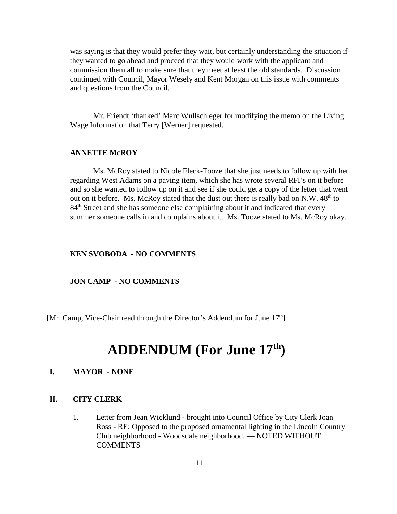was saying is that they would prefer they wait, but certainly understanding the situation if they wanted to go ahead and proceed that they would work with the applicant and commission them all to make sure that they meet at least the old standards. Discussion continued with Council, Mayor Wesely and Kent Morgan on this issue with comments and questions from the Council.

Mr. Friendt 'thanked' Marc Wullschleger for modifying the memo on the Living Wage Information that Terry [Werner] requested.

#### **ANNETTE McROY**

Ms. McRoy stated to Nicole Fleck-Tooze that she just needs to follow up with her regarding West Adams on a paving item, which she has wrote several RFI's on it before and so she wanted to follow up on it and see if she could get a copy of the letter that went out on it before. Ms. McRoy stated that the dust out there is really bad on N.W.  $48<sup>th</sup>$  to 84<sup>th</sup> Street and she has someone else complaining about it and indicated that every summer someone calls in and complains about it. Ms. Tooze stated to Ms. McRoy okay.

#### **KEN SVOBODA - NO COMMENTS**

#### **JON CAMP - NO COMMENTS**

[Mr. Camp, Vice-Chair read through the Director's Addendum for June  $17<sup>th</sup>$ ]

# **ADDENDUM (For June 17th)**

## **I. MAYOR - NONE**

#### **II. CITY CLERK**

1. Letter from Jean Wicklund - brought into Council Office by City Clerk Joan Ross - RE: Opposed to the proposed ornamental lighting in the Lincoln Country Club neighborhood - Woodsdale neighborhood. — NOTED WITHOUT COMMENTS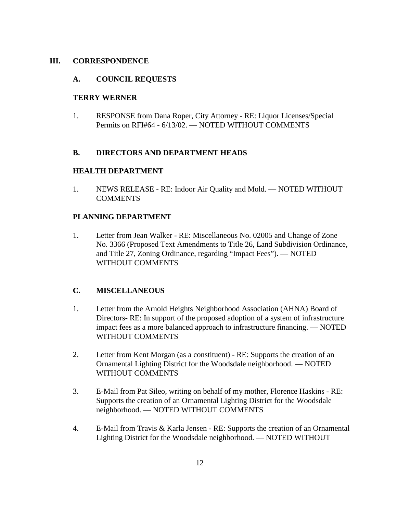## **III. CORRESPONDENCE**

## **A. COUNCIL REQUESTS**

#### **TERRY WERNER**

1. RESPONSE from Dana Roper, City Attorney - RE: Liquor Licenses/Special Permits on RFI#64 - 6/13/02. — NOTED WITHOUT COMMENTS

## **B. DIRECTORS AND DEPARTMENT HEADS**

## **HEALTH DEPARTMENT**

1. NEWS RELEASE - RE: Indoor Air Quality and Mold. — NOTED WITHOUT **COMMENTS** 

#### **PLANNING DEPARTMENT**

1. Letter from Jean Walker - RE: Miscellaneous No. 02005 and Change of Zone No. 3366 (Proposed Text Amendments to Title 26, Land Subdivision Ordinance, and Title 27, Zoning Ordinance, regarding "Impact Fees"). — NOTED WITHOUT COMMENTS

## **C. MISCELLANEOUS**

- 1. Letter from the Arnold Heights Neighborhood Association (AHNA) Board of Directors- RE: In support of the proposed adoption of a system of infrastructure impact fees as a more balanced approach to infrastructure financing. — NOTED WITHOUT COMMENTS
- 2. Letter from Kent Morgan (as a constituent) RE: Supports the creation of an Ornamental Lighting District for the Woodsdale neighborhood. — NOTED WITHOUT COMMENTS
- 3. E-Mail from Pat Sileo, writing on behalf of my mother, Florence Haskins RE: Supports the creation of an Ornamental Lighting District for the Woodsdale neighborhood. — NOTED WITHOUT COMMENTS
- 4. E-Mail from Travis & Karla Jensen RE: Supports the creation of an Ornamental Lighting District for the Woodsdale neighborhood. — NOTED WITHOUT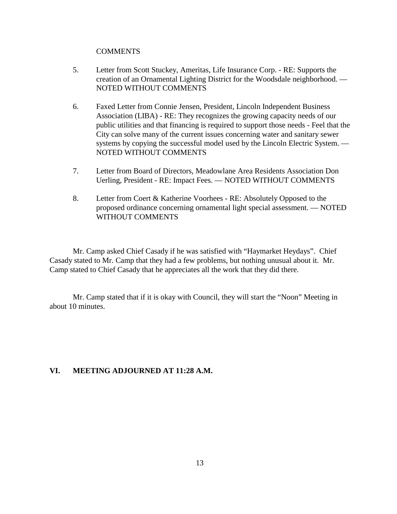#### COMMENTS

- 5. Letter from Scott Stuckey, Ameritas, Life Insurance Corp. RE: Supports the creation of an Ornamental Lighting District for the Woodsdale neighborhood. — NOTED WITHOUT COMMENTS
- 6. Faxed Letter from Connie Jensen, President, Lincoln Independent Business Association (LIBA) - RE: They recognizes the growing capacity needs of our public utilities and that financing is required to support those needs - Feel that the City can solve many of the current issues concerning water and sanitary sewer systems by copying the successful model used by the Lincoln Electric System. — NOTED WITHOUT COMMENTS
- 7. Letter from Board of Directors, Meadowlane Area Residents Association Don Uerling, President - RE: Impact Fees. — NOTED WITHOUT COMMENTS
- 8. Letter from Coert & Katherine Voorhees RE: Absolutely Opposed to the proposed ordinance concerning ornamental light special assessment. — NOTED WITHOUT COMMENTS

Mr. Camp asked Chief Casady if he was satisfied with "Haymarket Heydays". Chief Casady stated to Mr. Camp that they had a few problems, but nothing unusual about it. Mr. Camp stated to Chief Casady that he appreciates all the work that they did there.

Mr. Camp stated that if it is okay with Council, they will start the "Noon" Meeting in about 10 minutes.

## **VI. MEETING ADJOURNED AT 11:28 A.M.**